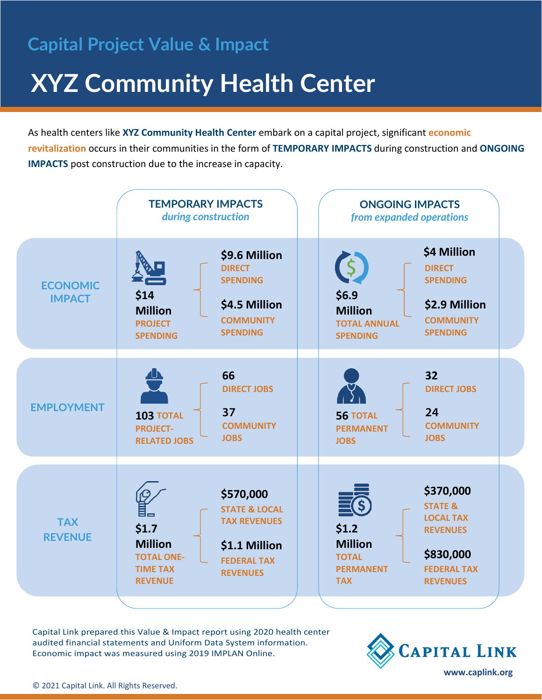# **Capital Project Value & Impact**

# **XYZ Community Health Center**

As health centers like **XYZ Community Health Center** embark on a capital project, significant **economic revitalization** occurs in their communities in the form of **TEMPORARY IMPACTS** during construction and **ONGOING IMPACTS** post construction due to the increase in capacity.



Capital Link prepared this Value & Impact report using 2020 health center audited financial statements and Uniform Data System information. Economic impact was measured using 2019 IMPLAN Online.